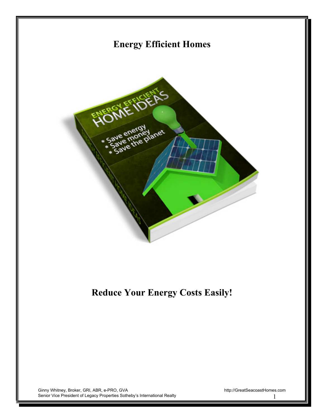

# **Reduce Your Energy Costs Easily!**

Ginny Whitney, Broker, GRI, ABR, e-PRO, GVA Senior Vice President of Legacy Properties Sotheby's International Realty http://GreatSeacoastHomes.com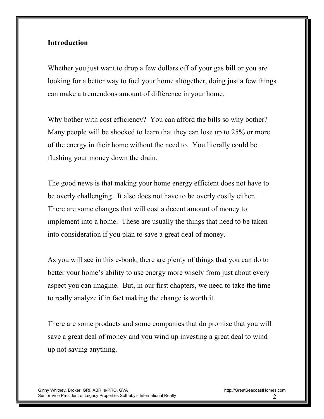# **Introduction**

Whether you just want to drop a few dollars off of your gas bill or you are looking for a better way to fuel your home altogether, doing just a few things can make a tremendous amount of difference in your home.

Why bother with cost efficiency? You can afford the bills so why bother? Many people will be shocked to learn that they can lose up to 25% or more of the energy in their home without the need to. You literally could be flushing your money down the drain.

The good news is that making your home energy efficient does not have to be overly challenging. It also does not have to be overly costly either. There are some changes that will cost a decent amount of money to implement into a home. These are usually the things that need to be taken into consideration if you plan to save a great deal of money.

As you will see in this e-book, there are plenty of things that you can do to better your home's ability to use energy more wisely from just about every aspect you can imagine. But, in our first chapters, we need to take the time to really analyze if in fact making the change is worth it.

There are some products and some companies that do promise that you will save a great deal of money and you wind up investing a great deal to wind up not saving anything.

 $\mathfrak{D}$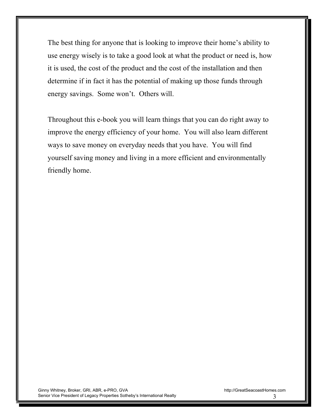The best thing for anyone that is looking to improve their home's ability to use energy wisely is to take a good look at what the product or need is, how it is used, the cost of the product and the cost of the installation and then determine if in fact it has the potential of making up those funds through energy savings. Some won't. Others will.

Throughout this e-book you will learn things that you can do right away to improve the energy efficiency of your home. You will also learn different ways to save money on everyday needs that you have. You will find yourself saving money and living in a more efficient and environmentally friendly home.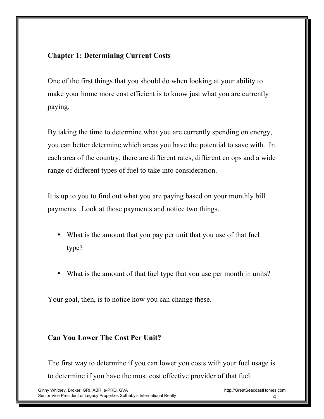# **Chapter 1: Determining Current Costs**

One of the first things that you should do when looking at your ability to make your home more cost efficient is to know just what you are currently paying.

By taking the time to determine what you are currently spending on energy, you can better determine which areas you have the potential to save with. In each area of the country, there are different rates, different co ops and a wide range of different types of fuel to take into consideration.

It is up to you to find out what you are paying based on your monthly bill payments. Look at those payments and notice two things.

- What is the amount that you pay per unit that you use of that fuel type?
- What is the amount of that fuel type that you use per month in units?

Your goal, then, is to notice how you can change these.

# **Can You Lower The Cost Per Unit?**

The first way to determine if you can lower you costs with your fuel usage is to determine if you have the most cost effective provider of that fuel.

Ginny Whitney, Broker, GRI, ABR, e-PRO, GVA Senior Vice President of Legacy Properties Sotheby's International Realty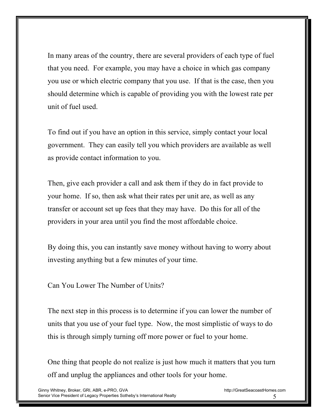In many areas of the country, there are several providers of each type of fuel that you need. For example, you may have a choice in which gas company you use or which electric company that you use. If that is the case, then you should determine which is capable of providing you with the lowest rate per unit of fuel used.

To find out if you have an option in this service, simply contact your local government. They can easily tell you which providers are available as well as provide contact information to you.

Then, give each provider a call and ask them if they do in fact provide to your home. If so, then ask what their rates per unit are, as well as any transfer or account set up fees that they may have. Do this for all of the providers in your area until you find the most affordable choice.

By doing this, you can instantly save money without having to worry about investing anything but a few minutes of your time.

Can You Lower The Number of Units?

The next step in this process is to determine if you can lower the number of units that you use of your fuel type. Now, the most simplistic of ways to do this is through simply turning off more power or fuel to your home.

One thing that people do not realize is just how much it matters that you turn off and unplug the appliances and other tools for your home.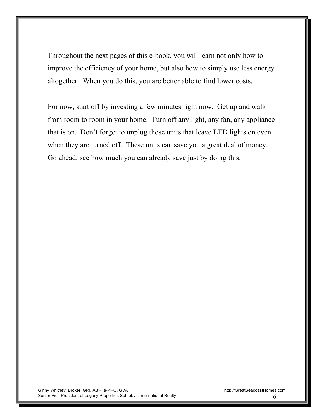Throughout the next pages of this e-book, you will learn not only how to improve the efficiency of your home, but also how to simply use less energy altogether. When you do this, you are better able to find lower costs.

For now, start off by investing a few minutes right now. Get up and walk from room to room in your home. Turn off any light, any fan, any appliance that is on. Don't forget to unplug those units that leave LED lights on even when they are turned off. These units can save you a great deal of money. Go ahead; see how much you can already save just by doing this.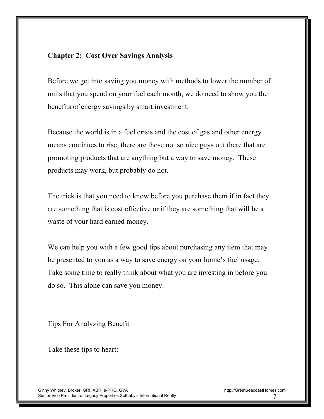#### **Chapter 2: Cost Over Savings Analysis**

Before we get into saving you money with methods to lower the number of units that you spend on your fuel each month, we do need to show you the benefits of energy savings by smart investment.

Because the world is in a fuel crisis and the cost of gas and other energy means continues to rise, there are those not so nice guys out there that are promoting products that are anything but a way to save money. These products may work, but probably do not.

The trick is that you need to know before you purchase them if in fact they are something that is cost effective or if they are something that will be a waste of your hard earned money.

We can help you with a few good tips about purchasing any item that may be presented to you as a way to save energy on your home's fuel usage. Take some time to really think about what you are investing in before you do so. This alone can save you money.

Tips For Analyzing Benefit

Take these tips to heart: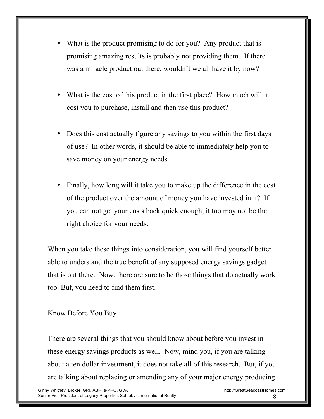- What is the product promising to do for you? Any product that is promising amazing results is probably not providing them. If there was a miracle product out there, wouldn't we all have it by now?
- What is the cost of this product in the first place? How much will it cost you to purchase, install and then use this product?
- Does this cost actually figure any savings to you within the first days of use? In other words, it should be able to immediately help you to save money on your energy needs.
- Finally, how long will it take you to make up the difference in the cost of the product over the amount of money you have invested in it? If you can not get your costs back quick enough, it too may not be the right choice for your needs.

When you take these things into consideration, you will find yourself better able to understand the true benefit of any supposed energy savings gadget that is out there. Now, there are sure to be those things that do actually work too. But, you need to find them first.

# Know Before You Buy

There are several things that you should know about before you invest in these energy savings products as well. Now, mind you, if you are talking about a ten dollar investment, it does not take all of this research. But, if you are talking about replacing or amending any of your major energy producing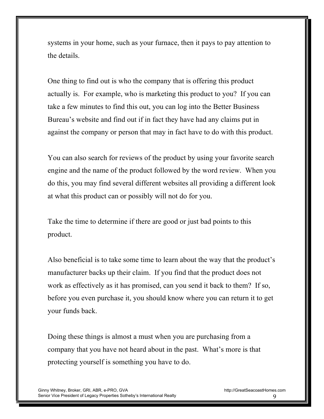systems in your home, such as your furnace, then it pays to pay attention to the details.

One thing to find out is who the company that is offering this product actually is. For example, who is marketing this product to you? If you can take a few minutes to find this out, you can log into the Better Business Bureau's website and find out if in fact they have had any claims put in against the company or person that may in fact have to do with this product.

You can also search for reviews of the product by using your favorite search engine and the name of the product followed by the word review. When you do this, you may find several different websites all providing a different look at what this product can or possibly will not do for you.

Take the time to determine if there are good or just bad points to this product.

Also beneficial is to take some time to learn about the way that the product's manufacturer backs up their claim. If you find that the product does not work as effectively as it has promised, can you send it back to them? If so, before you even purchase it, you should know where you can return it to get your funds back.

Doing these things is almost a must when you are purchasing from a company that you have not heard about in the past. What's more is that protecting yourself is something you have to do.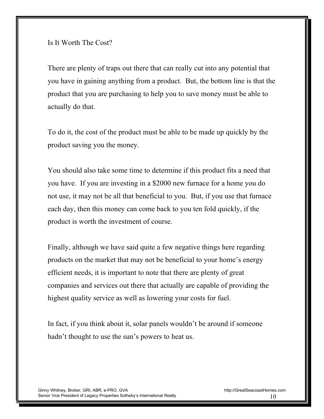Is It Worth The Cost?

There are plenty of traps out there that can really cut into any potential that you have in gaining anything from a product. But, the bottom line is that the product that you are purchasing to help you to save money must be able to actually do that.

To do it, the cost of the product must be able to be made up quickly by the product saving you the money.

You should also take some time to determine if this product fits a need that you have. If you are investing in a \$2000 new furnace for a home you do not use, it may not be all that beneficial to you. But, if you use that furnace each day, then this money can come back to you ten fold quickly, if the product is worth the investment of course.

Finally, although we have said quite a few negative things here regarding products on the market that may not be beneficial to your home's energy efficient needs, it is important to note that there are plenty of great companies and services out there that actually are capable of providing the highest quality service as well as lowering your costs for fuel.

In fact, if you think about it, solar panels wouldn't be around if someone hadn't thought to use the sun's powers to heat us.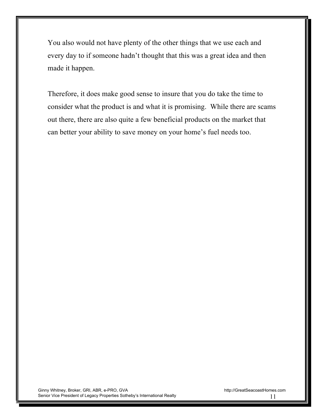You also would not have plenty of the other things that we use each and every day to if someone hadn't thought that this was a great idea and then made it happen.

Therefore, it does make good sense to insure that you do take the time to consider what the product is and what it is promising. While there are scams out there, there are also quite a few beneficial products on the market that can better your ability to save money on your home's fuel needs too.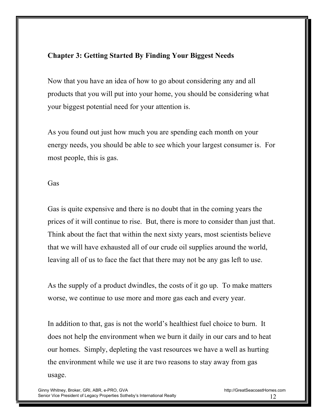# **Chapter 3: Getting Started By Finding Your Biggest Needs**

Now that you have an idea of how to go about considering any and all products that you will put into your home, you should be considering what your biggest potential need for your attention is.

As you found out just how much you are spending each month on your energy needs, you should be able to see which your largest consumer is. For most people, this is gas.

### **Gas**

Gas is quite expensive and there is no doubt that in the coming years the prices of it will continue to rise. But, there is more to consider than just that. Think about the fact that within the next sixty years, most scientists believe that we will have exhausted all of our crude oil supplies around the world, leaving all of us to face the fact that there may not be any gas left to use.

As the supply of a product dwindles, the costs of it go up. To make matters worse, we continue to use more and more gas each and every year.

In addition to that, gas is not the world's healthiest fuel choice to burn. It does not help the environment when we burn it daily in our cars and to heat our homes. Simply, depleting the vast resources we have a well as hurting the environment while we use it are two reasons to stay away from gas usage.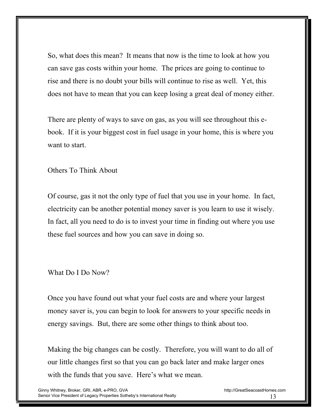So, what does this mean? It means that now is the time to look at how you can save gas costs within your home. The prices are going to continue to rise and there is no doubt your bills will continue to rise as well. Yet, this does not have to mean that you can keep losing a great deal of money either.

There are plenty of ways to save on gas, as you will see throughout this ebook. If it is your biggest cost in fuel usage in your home, this is where you want to start.

Others To Think About

Of course, gas it not the only type of fuel that you use in your home. In fact, electricity can be another potential money saver is you learn to use it wisely. In fact, all you need to do is to invest your time in finding out where you use these fuel sources and how you can save in doing so.

What Do I Do Now?

Once you have found out what your fuel costs are and where your largest money saver is, you can begin to look for answers to your specific needs in energy savings. But, there are some other things to think about too.

Making the big changes can be costly. Therefore, you will want to do all of our little changes first so that you can go back later and make larger ones with the funds that you save. Here's what we mean.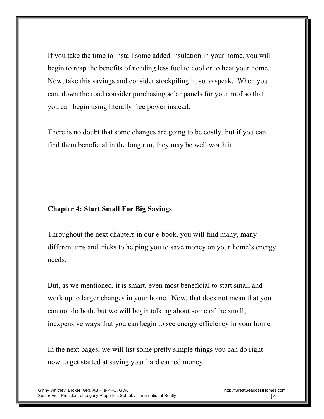If you take the time to install some added insulation in your home, you will begin to reap the benefits of needing less fuel to cool or to heat your home. Now, take this savings and consider stockpiling it, so to speak. When you can, down the road consider purchasing solar panels for your roof so that you can begin using literally free power instead.

There is no doubt that some changes are going to be costly, but if you can find them beneficial in the long run, they may be well worth it.

#### **Chapter 4: Start Small For Big Savings**

Throughout the next chapters in our e-book, you will find many, many different tips and tricks to helping you to save money on your home's energy needs.

But, as we mentioned, it is smart, even most beneficial to start small and work up to larger changes in your home. Now, that does not mean that you can not do both, but we will begin talking about some of the small, inexpensive ways that you can begin to see energy efficiency in your home.

In the next pages, we will list some pretty simple things you can do right now to get started at saving your hard earned money.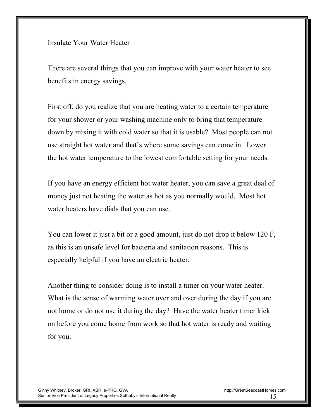Insulate Your Water Heater

There are several things that you can improve with your water heater to see benefits in energy savings.

First off, do you realize that you are heating water to a certain temperature for your shower or your washing machine only to bring that temperature down by mixing it with cold water so that it is usable? Most people can not use straight hot water and that's where some savings can come in. Lower the hot water temperature to the lowest comfortable setting for your needs.

If you have an energy efficient hot water heater, you can save a great deal of money just not heating the water as hot as you normally would. Most hot water heaters have dials that you can use.

You can lower it just a bit or a good amount, just do not drop it below 120 F, as this is an unsafe level for bacteria and sanitation reasons. This is especially helpful if you have an electric heater.

Another thing to consider doing is to install a timer on your water heater. What is the sense of warming water over and over during the day if you are not home or do not use it during the day? Have the water heater timer kick on before you come home from work so that hot water is ready and waiting for you.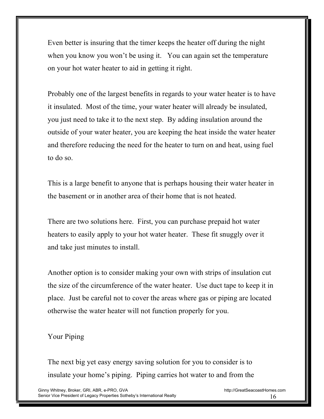Even better is insuring that the timer keeps the heater off during the night when you know you won't be using it. You can again set the temperature on your hot water heater to aid in getting it right.

Probably one of the largest benefits in regards to your water heater is to have it insulated. Most of the time, your water heater will already be insulated, you just need to take it to the next step. By adding insulation around the outside of your water heater, you are keeping the heat inside the water heater and therefore reducing the need for the heater to turn on and heat, using fuel to do so.

This is a large benefit to anyone that is perhaps housing their water heater in the basement or in another area of their home that is not heated.

There are two solutions here. First, you can purchase prepaid hot water heaters to easily apply to your hot water heater. These fit snuggly over it and take just minutes to install.

Another option is to consider making your own with strips of insulation cut the size of the circumference of the water heater. Use duct tape to keep it in place. Just be careful not to cover the areas where gas or piping are located otherwise the water heater will not function properly for you.

#### Your Piping

The next big yet easy energy saving solution for you to consider is to insulate your home's piping. Piping carries hot water to and from the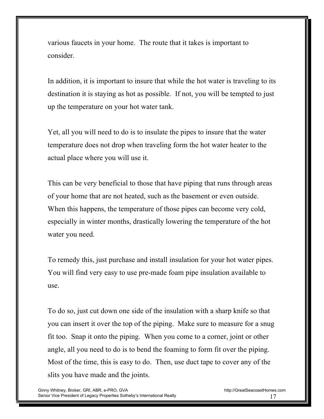various faucets in your home. The route that it takes is important to consider.

In addition, it is important to insure that while the hot water is traveling to its destination it is staying as hot as possible. If not, you will be tempted to just up the temperature on your hot water tank.

Yet, all you will need to do is to insulate the pipes to insure that the water temperature does not drop when traveling form the hot water heater to the actual place where you will use it.

This can be very beneficial to those that have piping that runs through areas of your home that are not heated, such as the basement or even outside. When this happens, the temperature of those pipes can become very cold, especially in winter months, drastically lowering the temperature of the hot water you need.

To remedy this, just purchase and install insulation for your hot water pipes. You will find very easy to use pre-made foam pipe insulation available to use.

To do so, just cut down one side of the insulation with a sharp knife so that you can insert it over the top of the piping. Make sure to measure for a snug fit too. Snap it onto the piping. When you come to a corner, joint or other angle, all you need to do is to bend the foaming to form fit over the piping. Most of the time, this is easy to do. Then, use duct tape to cover any of the slits you have made and the joints.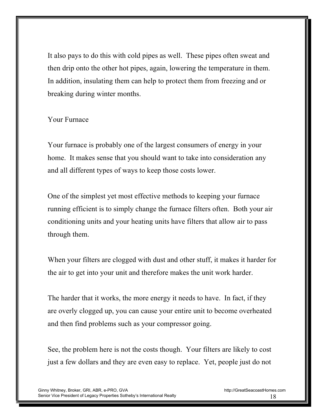It also pays to do this with cold pipes as well. These pipes often sweat and then drip onto the other hot pipes, again, lowering the temperature in them. In addition, insulating them can help to protect them from freezing and or breaking during winter months.

# Your Furnace

Your furnace is probably one of the largest consumers of energy in your home. It makes sense that you should want to take into consideration any and all different types of ways to keep those costs lower.

One of the simplest yet most effective methods to keeping your furnace running efficient is to simply change the furnace filters often. Both your air conditioning units and your heating units have filters that allow air to pass through them.

When your filters are clogged with dust and other stuff, it makes it harder for the air to get into your unit and therefore makes the unit work harder.

The harder that it works, the more energy it needs to have. In fact, if they are overly clogged up, you can cause your entire unit to become overheated and then find problems such as your compressor going.

See, the problem here is not the costs though. Your filters are likely to cost just a few dollars and they are even easy to replace. Yet, people just do not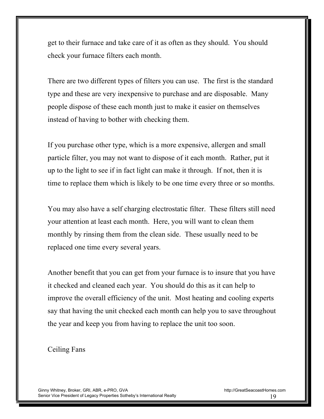get to their furnace and take care of it as often as they should. You should check your furnace filters each month.

There are two different types of filters you can use. The first is the standard type and these are very inexpensive to purchase and are disposable. Many people dispose of these each month just to make it easier on themselves instead of having to bother with checking them.

If you purchase other type, which is a more expensive, allergen and small particle filter, you may not want to dispose of it each month. Rather, put it up to the light to see if in fact light can make it through. If not, then it is time to replace them which is likely to be one time every three or so months.

You may also have a self charging electrostatic filter. These filters still need your attention at least each month. Here, you will want to clean them monthly by rinsing them from the clean side. These usually need to be replaced one time every several years.

Another benefit that you can get from your furnace is to insure that you have it checked and cleaned each year. You should do this as it can help to improve the overall efficiency of the unit. Most heating and cooling experts say that having the unit checked each month can help you to save throughout the year and keep you from having to replace the unit too soon.

Ceiling Fans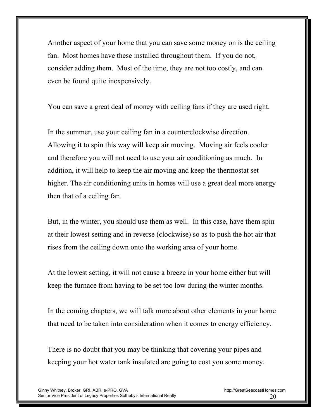Another aspect of your home that you can save some money on is the ceiling fan. Most homes have these installed throughout them. If you do not, consider adding them. Most of the time, they are not too costly, and can even be found quite inexpensively.

You can save a great deal of money with ceiling fans if they are used right.

In the summer, use your ceiling fan in a counterclockwise direction. Allowing it to spin this way will keep air moving. Moving air feels cooler and therefore you will not need to use your air conditioning as much. In addition, it will help to keep the air moving and keep the thermostat set higher. The air conditioning units in homes will use a great deal more energy then that of a ceiling fan.

But, in the winter, you should use them as well. In this case, have them spin at their lowest setting and in reverse (clockwise) so as to push the hot air that rises from the ceiling down onto the working area of your home.

At the lowest setting, it will not cause a breeze in your home either but will keep the furnace from having to be set too low during the winter months.

In the coming chapters, we will talk more about other elements in your home that need to be taken into consideration when it comes to energy efficiency.

There is no doubt that you may be thinking that covering your pipes and keeping your hot water tank insulated are going to cost you some money.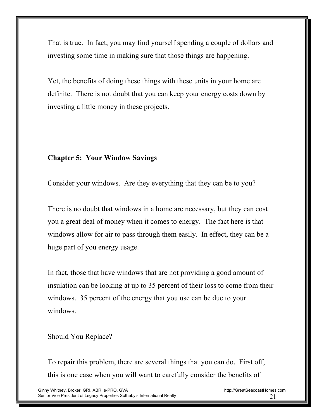That is true. In fact, you may find yourself spending a couple of dollars and investing some time in making sure that those things are happening.

Yet, the benefits of doing these things with these units in your home are definite. There is not doubt that you can keep your energy costs down by investing a little money in these projects.

#### **Chapter 5: Your Window Savings**

Consider your windows. Are they everything that they can be to you?

There is no doubt that windows in a home are necessary, but they can cost you a great deal of money when it comes to energy. The fact here is that windows allow for air to pass through them easily. In effect, they can be a huge part of you energy usage.

In fact, those that have windows that are not providing a good amount of insulation can be looking at up to 35 percent of their loss to come from their windows. 35 percent of the energy that you use can be due to your windows.

#### Should You Replace?

To repair this problem, there are several things that you can do. First off, this is one case when you will want to carefully consider the benefits of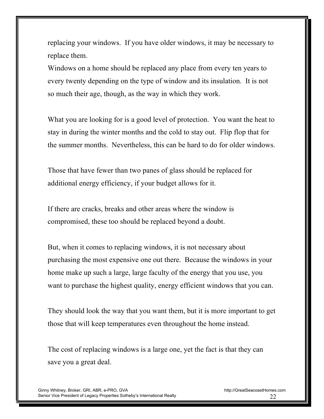replacing your windows. If you have older windows, it may be necessary to replace them.

Windows on a home should be replaced any place from every ten years to every twenty depending on the type of window and its insulation. It is not so much their age, though, as the way in which they work.

What you are looking for is a good level of protection. You want the heat to stay in during the winter months and the cold to stay out. Flip flop that for the summer months. Nevertheless, this can be hard to do for older windows.

Those that have fewer than two panes of glass should be replaced for additional energy efficiency, if your budget allows for it.

If there are cracks, breaks and other areas where the window is compromised, these too should be replaced beyond a doubt.

But, when it comes to replacing windows, it is not necessary about purchasing the most expensive one out there. Because the windows in your home make up such a large, large faculty of the energy that you use, you want to purchase the highest quality, energy efficient windows that you can.

They should look the way that you want them, but it is more important to get those that will keep temperatures even throughout the home instead.

The cost of replacing windows is a large one, yet the fact is that they can save you a great deal.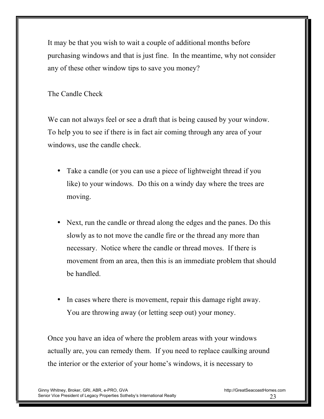It may be that you wish to wait a couple of additional months before purchasing windows and that is just fine. In the meantime, why not consider any of these other window tips to save you money?

The Candle Check

We can not always feel or see a draft that is being caused by your window. To help you to see if there is in fact air coming through any area of your windows, use the candle check.

- Take a candle (or you can use a piece of lightweight thread if you like) to your windows. Do this on a windy day where the trees are moving.
- Next, run the candle or thread along the edges and the panes. Do this slowly as to not move the candle fire or the thread any more than necessary. Notice where the candle or thread moves. If there is movement from an area, then this is an immediate problem that should be handled.
- In cases where there is movement, repair this damage right away. You are throwing away (or letting seep out) your money.

Once you have an idea of where the problem areas with your windows actually are, you can remedy them. If you need to replace caulking around the interior or the exterior of your home's windows, it is necessary to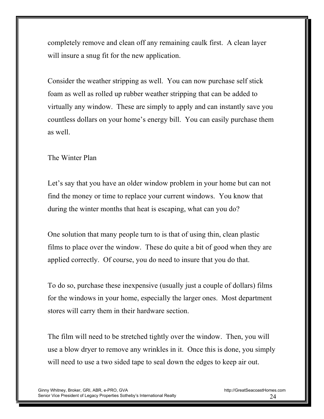completely remove and clean off any remaining caulk first. A clean layer will insure a snug fit for the new application.

Consider the weather stripping as well. You can now purchase self stick foam as well as rolled up rubber weather stripping that can be added to virtually any window. These are simply to apply and can instantly save you countless dollars on your home's energy bill. You can easily purchase them as well.

# The Winter Plan

Let's say that you have an older window problem in your home but can not find the money or time to replace your current windows. You know that during the winter months that heat is escaping, what can you do?

One solution that many people turn to is that of using thin, clean plastic films to place over the window. These do quite a bit of good when they are applied correctly. Of course, you do need to insure that you do that.

To do so, purchase these inexpensive (usually just a couple of dollars) films for the windows in your home, especially the larger ones. Most department stores will carry them in their hardware section.

The film will need to be stretched tightly over the window. Then, you will use a blow dryer to remove any wrinkles in it. Once this is done, you simply will need to use a two sided tape to seal down the edges to keep air out.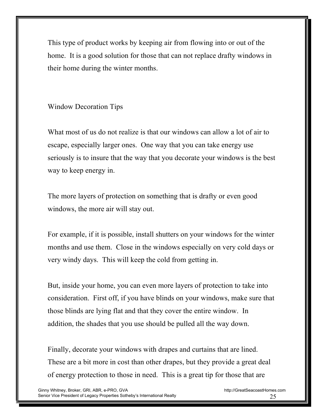This type of product works by keeping air from flowing into or out of the home. It is a good solution for those that can not replace drafty windows in their home during the winter months.

Window Decoration Tips

What most of us do not realize is that our windows can allow a lot of air to escape, especially larger ones. One way that you can take energy use seriously is to insure that the way that you decorate your windows is the best way to keep energy in.

The more layers of protection on something that is drafty or even good windows, the more air will stay out.

For example, if it is possible, install shutters on your windows for the winter months and use them. Close in the windows especially on very cold days or very windy days. This will keep the cold from getting in.

But, inside your home, you can even more layers of protection to take into consideration. First off, if you have blinds on your windows, make sure that those blinds are lying flat and that they cover the entire window. In addition, the shades that you use should be pulled all the way down.

Finally, decorate your windows with drapes and curtains that are lined. These are a bit more in cost than other drapes, but they provide a great deal of energy protection to those in need. This is a great tip for those that are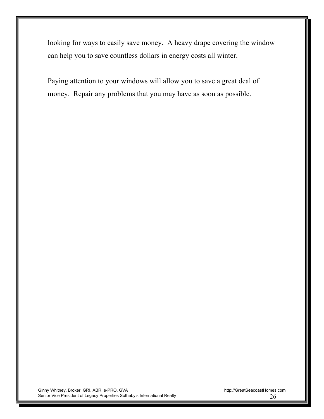looking for ways to easily save money. A heavy drape covering the window can help you to save countless dollars in energy costs all winter.

Paying attention to your windows will allow you to save a great deal of money. Repair any problems that you may have as soon as possible.

Ginny Whitney, Broker, GRI, ABR, e-PRO, GVA Senior Vice President of Legacy Properties Sotheby's International Realty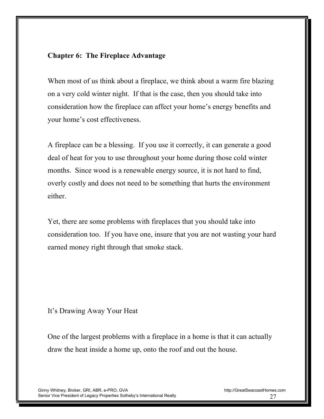# **Chapter 6: The Fireplace Advantage**

When most of us think about a fireplace, we think about a warm fire blazing on a very cold winter night. If that is the case, then you should take into consideration how the fireplace can affect your home's energy benefits and your home's cost effectiveness.

A fireplace can be a blessing. If you use it correctly, it can generate a good deal of heat for you to use throughout your home during those cold winter months. Since wood is a renewable energy source, it is not hard to find, overly costly and does not need to be something that hurts the environment either.

Yet, there are some problems with fireplaces that you should take into consideration too. If you have one, insure that you are not wasting your hard earned money right through that smoke stack.

It's Drawing Away Your Heat

One of the largest problems with a fireplace in a home is that it can actually draw the heat inside a home up, onto the roof and out the house.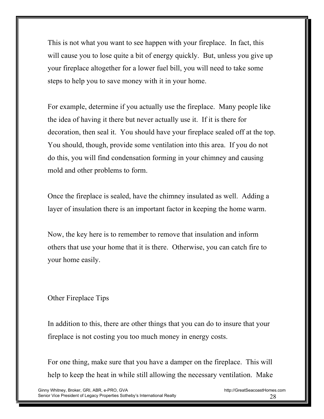This is not what you want to see happen with your fireplace. In fact, this will cause you to lose quite a bit of energy quickly. But, unless you give up your fireplace altogether for a lower fuel bill, you will need to take some steps to help you to save money with it in your home.

For example, determine if you actually use the fireplace. Many people like the idea of having it there but never actually use it. If it is there for decoration, then seal it. You should have your fireplace sealed off at the top. You should, though, provide some ventilation into this area. If you do not do this, you will find condensation forming in your chimney and causing mold and other problems to form.

Once the fireplace is sealed, have the chimney insulated as well. Adding a layer of insulation there is an important factor in keeping the home warm.

Now, the key here is to remember to remove that insulation and inform others that use your home that it is there. Otherwise, you can catch fire to your home easily.

#### Other Fireplace Tips

In addition to this, there are other things that you can do to insure that your fireplace is not costing you too much money in energy costs.

For one thing, make sure that you have a damper on the fireplace. This will help to keep the heat in while still allowing the necessary ventilation. Make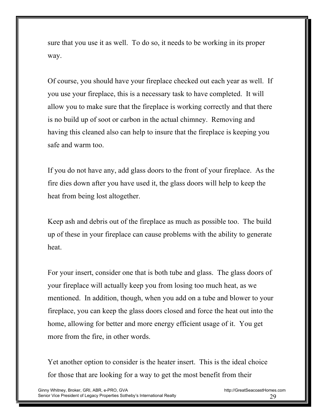sure that you use it as well. To do so, it needs to be working in its proper way.

Of course, you should have your fireplace checked out each year as well. If you use your fireplace, this is a necessary task to have completed. It will allow you to make sure that the fireplace is working correctly and that there is no build up of soot or carbon in the actual chimney. Removing and having this cleaned also can help to insure that the fireplace is keeping you safe and warm too.

If you do not have any, add glass doors to the front of your fireplace. As the fire dies down after you have used it, the glass doors will help to keep the heat from being lost altogether.

Keep ash and debris out of the fireplace as much as possible too. The build up of these in your fireplace can cause problems with the ability to generate heat.

For your insert, consider one that is both tube and glass. The glass doors of your fireplace will actually keep you from losing too much heat, as we mentioned. In addition, though, when you add on a tube and blower to your fireplace, you can keep the glass doors closed and force the heat out into the home, allowing for better and more energy efficient usage of it. You get more from the fire, in other words.

Yet another option to consider is the heater insert. This is the ideal choice for those that are looking for a way to get the most benefit from their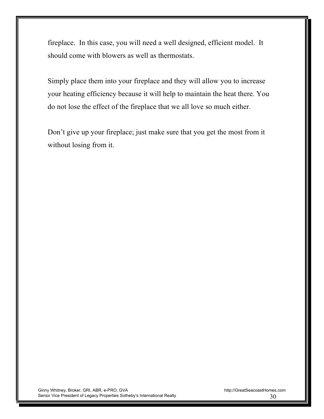fireplace. In this case, you will need a well designed, efficient model. It should come with blowers as well as thermostats.

Simply place them into your fireplace and they will allow you to increase your heating efficiency because it will help to maintain the heat there. You do not lose the effect of the fireplace that we all love so much either.

Don't give up your fireplace; just make sure that you get the most from it without losing from it.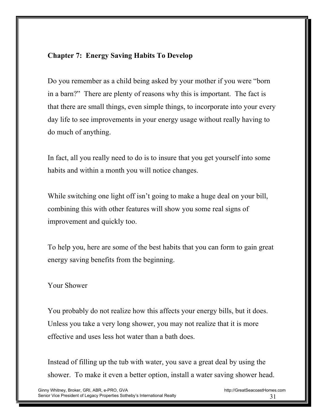# **Chapter 7: Energy Saving Habits To Develop**

Do you remember as a child being asked by your mother if you were "born in a barn?" There are plenty of reasons why this is important. The fact is that there are small things, even simple things, to incorporate into your every day life to see improvements in your energy usage without really having to do much of anything.

In fact, all you really need to do is to insure that you get yourself into some habits and within a month you will notice changes.

While switching one light off isn't going to make a huge deal on your bill, combining this with other features will show you some real signs of improvement and quickly too.

To help you, here are some of the best habits that you can form to gain great energy saving benefits from the beginning.

# Your Shower

You probably do not realize how this affects your energy bills, but it does. Unless you take a very long shower, you may not realize that it is more effective and uses less hot water than a bath does.

Instead of filling up the tub with water, you save a great deal by using the shower. To make it even a better option, install a water saving shower head.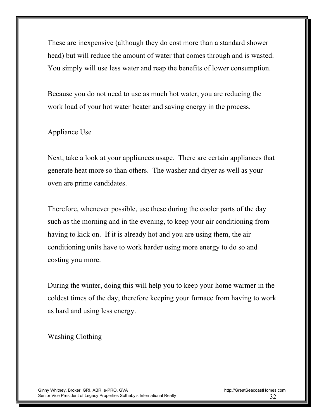These are inexpensive (although they do cost more than a standard shower head) but will reduce the amount of water that comes through and is wasted. You simply will use less water and reap the benefits of lower consumption.

Because you do not need to use as much hot water, you are reducing the work load of your hot water heater and saving energy in the process.

# Appliance Use

Next, take a look at your appliances usage. There are certain appliances that generate heat more so than others. The washer and dryer as well as your oven are prime candidates.

Therefore, whenever possible, use these during the cooler parts of the day such as the morning and in the evening, to keep your air conditioning from having to kick on. If it is already hot and you are using them, the air conditioning units have to work harder using more energy to do so and costing you more.

During the winter, doing this will help you to keep your home warmer in the coldest times of the day, therefore keeping your furnace from having to work as hard and using less energy.

# Washing Clothing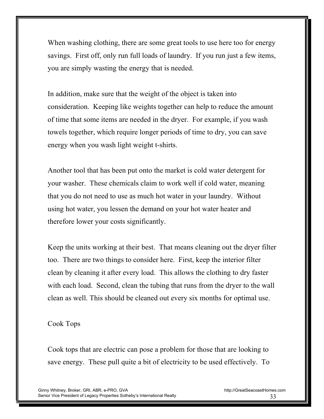When washing clothing, there are some great tools to use here too for energy savings. First off, only run full loads of laundry. If you run just a few items, you are simply wasting the energy that is needed.

In addition, make sure that the weight of the object is taken into consideration. Keeping like weights together can help to reduce the amount of time that some items are needed in the dryer. For example, if you wash towels together, which require longer periods of time to dry, you can save energy when you wash light weight t-shirts.

Another tool that has been put onto the market is cold water detergent for your washer. These chemicals claim to work well if cold water, meaning that you do not need to use as much hot water in your laundry. Without using hot water, you lessen the demand on your hot water heater and therefore lower your costs significantly.

Keep the units working at their best. That means cleaning out the dryer filter too. There are two things to consider here. First, keep the interior filter clean by cleaning it after every load. This allows the clothing to dry faster with each load. Second, clean the tubing that runs from the dryer to the wall clean as well. This should be cleaned out every six months for optimal use.

Cook Tops

Cook tops that are electric can pose a problem for those that are looking to save energy. These pull quite a bit of electricity to be used effectively. To

Ginny Whitney, Broker, GRI, ABR, e-PRO, GVA Senior Vice President of Legacy Properties Sotheby's International Realty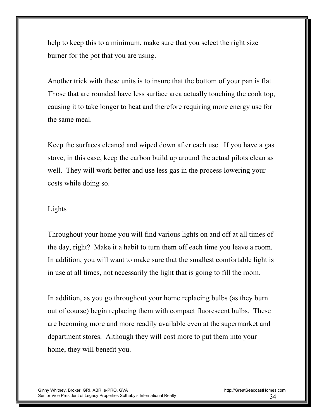help to keep this to a minimum, make sure that you select the right size burner for the pot that you are using.

Another trick with these units is to insure that the bottom of your pan is flat. Those that are rounded have less surface area actually touching the cook top, causing it to take longer to heat and therefore requiring more energy use for the same meal.

Keep the surfaces cleaned and wiped down after each use. If you have a gas stove, in this case, keep the carbon build up around the actual pilots clean as well. They will work better and use less gas in the process lowering your costs while doing so.

#### Lights

Throughout your home you will find various lights on and off at all times of the day, right? Make it a habit to turn them off each time you leave a room. In addition, you will want to make sure that the smallest comfortable light is in use at all times, not necessarily the light that is going to fill the room.

In addition, as you go throughout your home replacing bulbs (as they burn out of course) begin replacing them with compact fluorescent bulbs. These are becoming more and more readily available even at the supermarket and department stores. Although they will cost more to put them into your home, they will benefit you.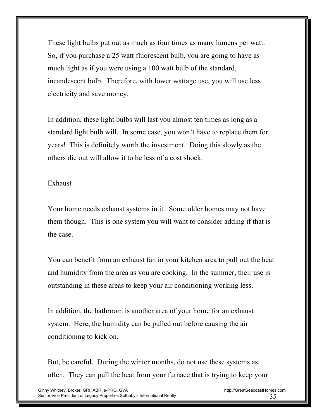These light bulbs put out as much as four times as many lumens per watt. So, if you purchase a 25 watt fluorescent bulb, you are going to have as much light as if you were using a 100 watt bulb of the standard, incandescent bulb. Therefore, with lower wattage use, you will use less electricity and save money.

In addition, these light bulbs will last you almost ten times as long as a standard light bulb will. In some case, you won't have to replace them for years! This is definitely worth the investment. Doing this slowly as the others die out will allow it to be less of a cost shock.

### Exhaust

Your home needs exhaust systems in it. Some older homes may not have them though. This is one system you will want to consider adding if that is the case.

You can benefit from an exhaust fan in your kitchen area to pull out the heat and humidity from the area as you are cooking. In the summer, their use is outstanding in these areas to keep your air conditioning working less.

In addition, the bathroom is another area of your home for an exhaust system. Here, the humidity can be pulled out before causing the air conditioning to kick on.

But, be careful. During the winter months, do not use these systems as often. They can pull the heat from your furnace that is trying to keep your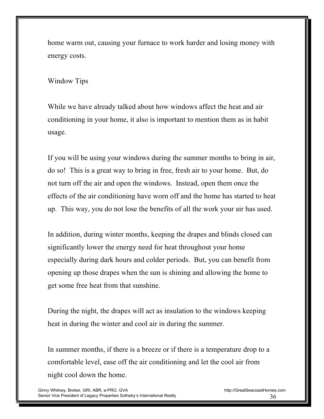home warm out, causing your furnace to work harder and losing money with energy costs.

### Window Tips

While we have already talked about how windows affect the heat and air conditioning in your home, it also is important to mention them as in habit usage.

If you will be using your windows during the summer months to bring in air, do so! This is a great way to bring in free, fresh air to your home. But, do not turn off the air and open the windows. Instead, open them once the effects of the air conditioning have worn off and the home has started to heat up. This way, you do not lose the benefits of all the work your air has used.

In addition, during winter months, keeping the drapes and blinds closed can significantly lower the energy need for heat throughout your home especially during dark hours and colder periods. But, you can benefit from opening up those drapes when the sun is shining and allowing the home to get some free heat from that sunshine.

During the night, the drapes will act as insulation to the windows keeping heat in during the winter and cool air in during the summer.

In summer months, if there is a breeze or if there is a temperature drop to a comfortable level, ease off the air conditioning and let the cool air from night cool down the home.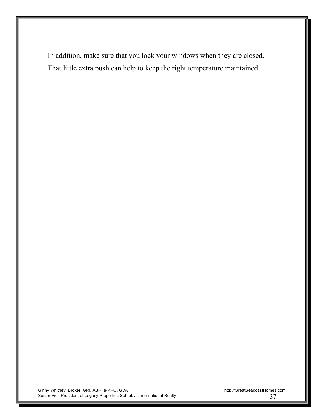In addition, make sure that you lock your windows when they are closed. That little extra push can help to keep the right temperature maintained.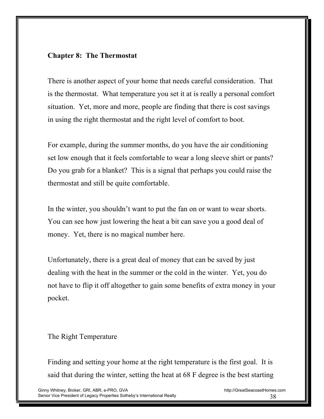#### **Chapter 8: The Thermostat**

There is another aspect of your home that needs careful consideration. That is the thermostat. What temperature you set it at is really a personal comfort situation. Yet, more and more, people are finding that there is cost savings in using the right thermostat and the right level of comfort to boot.

For example, during the summer months, do you have the air conditioning set low enough that it feels comfortable to wear a long sleeve shirt or pants? Do you grab for a blanket? This is a signal that perhaps you could raise the thermostat and still be quite comfortable.

In the winter, you shouldn't want to put the fan on or want to wear shorts. You can see how just lowering the heat a bit can save you a good deal of money. Yet, there is no magical number here.

Unfortunately, there is a great deal of money that can be saved by just dealing with the heat in the summer or the cold in the winter. Yet, you do not have to flip it off altogether to gain some benefits of extra money in your pocket.

#### The Right Temperature

Finding and setting your home at the right temperature is the first goal. It is said that during the winter, setting the heat at 68 F degree is the best starting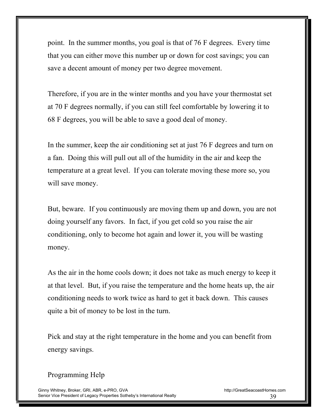point. In the summer months, you goal is that of 76 F degrees. Every time that you can either move this number up or down for cost savings; you can save a decent amount of money per two degree movement.

Therefore, if you are in the winter months and you have your thermostat set at 70 F degrees normally, if you can still feel comfortable by lowering it to 68 F degrees, you will be able to save a good deal of money.

In the summer, keep the air conditioning set at just 76 F degrees and turn on a fan. Doing this will pull out all of the humidity in the air and keep the temperature at a great level. If you can tolerate moving these more so, you will save money.

But, beware. If you continuously are moving them up and down, you are not doing yourself any favors. In fact, if you get cold so you raise the air conditioning, only to become hot again and lower it, you will be wasting money.

As the air in the home cools down; it does not take as much energy to keep it at that level. But, if you raise the temperature and the home heats up, the air conditioning needs to work twice as hard to get it back down. This causes quite a bit of money to be lost in the turn.

Pick and stay at the right temperature in the home and you can benefit from energy savings.

# Programming Help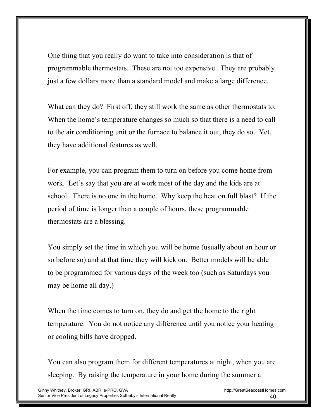One thing that you really do want to take into consideration is that of programmable thermostats. These are not too expensive. They are probably just a few dollars more than a standard model and make a large difference.

What can they do? First off, they still work the same as other thermostats to. When the home's temperature changes so much so that there is a need to call to the air conditioning unit or the furnace to balance it out, they do so. Yet, they have additional features as well.

For example, you can program them to turn on before you come home from work. Let's say that you are at work most of the day and the kids are at school. There is no one in the home. Why keep the heat on full blast? If the period of time is longer than a couple of hours, these programmable thermostats are a blessing.

You simply set the time in which you will be home (usually about an hour or so before so) and at that time they will kick on. Better models will be able to be programmed for various days of the week too (such as Saturdays you may be home all day.)

When the time comes to turn on, they do and get the home to the right temperature. You do not notice any difference until you notice your heating or cooling bills have dropped.

You can also program them for different temperatures at night, when you are sleeping. By raising the temperature in your home during the summer a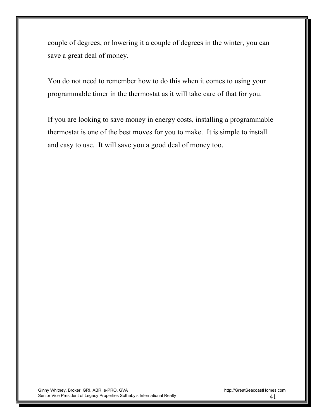couple of degrees, or lowering it a couple of degrees in the winter, you can save a great deal of money.

You do not need to remember how to do this when it comes to using your programmable timer in the thermostat as it will take care of that for you.

If you are looking to save money in energy costs, installing a programmable thermostat is one of the best moves for you to make. It is simple to install and easy to use. It will save you a good deal of money too.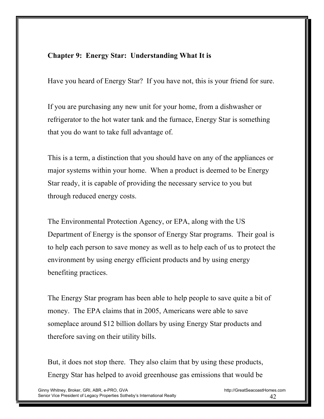# **Chapter 9: Energy Star: Understanding What It is**

Have you heard of Energy Star? If you have not, this is your friend for sure.

If you are purchasing any new unit for your home, from a dishwasher or refrigerator to the hot water tank and the furnace, Energy Star is something that you do want to take full advantage of.

This is a term, a distinction that you should have on any of the appliances or major systems within your home. When a product is deemed to be Energy Star ready, it is capable of providing the necessary service to you but through reduced energy costs.

The Environmental Protection Agency, or EPA, along with the US Department of Energy is the sponsor of Energy Star programs. Their goal is to help each person to save money as well as to help each of us to protect the environment by using energy efficient products and by using energy benefiting practices.

The Energy Star program has been able to help people to save quite a bit of money. The EPA claims that in 2005, Americans were able to save someplace around \$12 billion dollars by using Energy Star products and therefore saving on their utility bills.

But, it does not stop there. They also claim that by using these products, Energy Star has helped to avoid greenhouse gas emissions that would be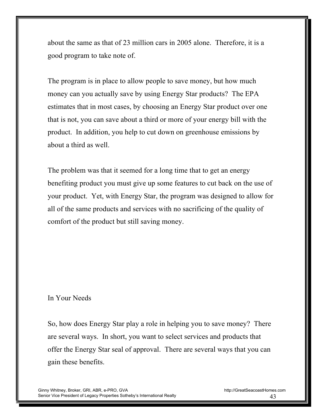about the same as that of 23 million cars in 2005 alone. Therefore, it is a good program to take note of.

The program is in place to allow people to save money, but how much money can you actually save by using Energy Star products? The EPA estimates that in most cases, by choosing an Energy Star product over one that is not, you can save about a third or more of your energy bill with the product. In addition, you help to cut down on greenhouse emissions by about a third as well.

The problem was that it seemed for a long time that to get an energy benefiting product you must give up some features to cut back on the use of your product. Yet, with Energy Star, the program was designed to allow for all of the same products and services with no sacrificing of the quality of comfort of the product but still saving money.

# In Your Needs

So, how does Energy Star play a role in helping you to save money? There are several ways. In short, you want to select services and products that offer the Energy Star seal of approval. There are several ways that you can gain these benefits.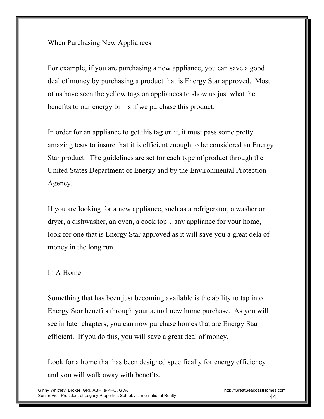# When Purchasing New Appliances

For example, if you are purchasing a new appliance, you can save a good deal of money by purchasing a product that is Energy Star approved. Most of us have seen the yellow tags on appliances to show us just what the benefits to our energy bill is if we purchase this product.

In order for an appliance to get this tag on it, it must pass some pretty amazing tests to insure that it is efficient enough to be considered an Energy Star product. The guidelines are set for each type of product through the United States Department of Energy and by the Environmental Protection Agency.

If you are looking for a new appliance, such as a refrigerator, a washer or dryer, a dishwasher, an oven, a cook top…any appliance for your home, look for one that is Energy Star approved as it will save you a great dela of money in the long run.

### In A Home

Something that has been just becoming available is the ability to tap into Energy Star benefits through your actual new home purchase. As you will see in later chapters, you can now purchase homes that are Energy Star efficient. If you do this, you will save a great deal of money.

Look for a home that has been designed specifically for energy efficiency and you will walk away with benefits.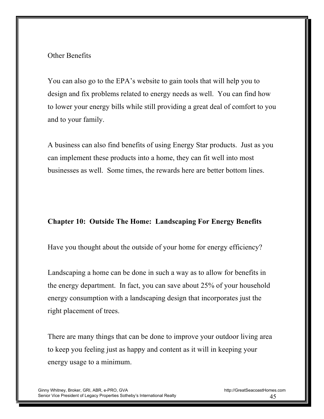# Other Benefits

You can also go to the EPA's website to gain tools that will help you to design and fix problems related to energy needs as well. You can find how to lower your energy bills while still providing a great deal of comfort to you and to your family.

A business can also find benefits of using Energy Star products. Just as you can implement these products into a home, they can fit well into most businesses as well. Some times, the rewards here are better bottom lines.

# **Chapter 10: Outside The Home: Landscaping For Energy Benefits**

Have you thought about the outside of your home for energy efficiency?

Landscaping a home can be done in such a way as to allow for benefits in the energy department. In fact, you can save about 25% of your household energy consumption with a landscaping design that incorporates just the right placement of trees.

There are many things that can be done to improve your outdoor living area to keep you feeling just as happy and content as it will in keeping your energy usage to a minimum.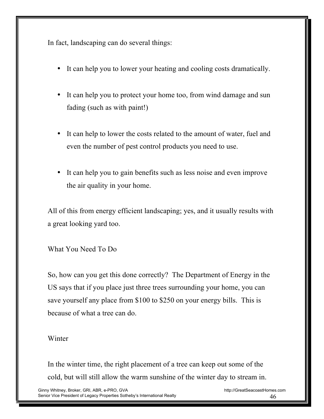In fact, landscaping can do several things:

- It can help you to lower your heating and cooling costs dramatically.
- It can help you to protect your home too, from wind damage and sun fading (such as with paint!)
- It can help to lower the costs related to the amount of water, fuel and even the number of pest control products you need to use.
- It can help you to gain benefits such as less noise and even improve the air quality in your home.

All of this from energy efficient landscaping; yes, and it usually results with a great looking yard too.

What You Need To Do

So, how can you get this done correctly? The Department of Energy in the US says that if you place just three trees surrounding your home, you can save yourself any place from \$100 to \$250 on your energy bills. This is because of what a tree can do.

# Winter

In the winter time, the right placement of a tree can keep out some of the cold, but will still allow the warm sunshine of the winter day to stream in.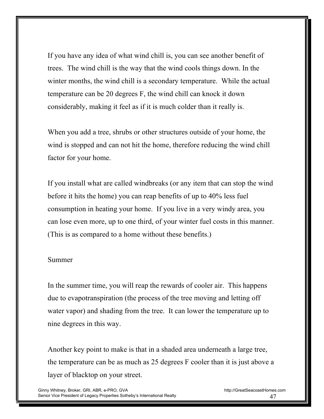If you have any idea of what wind chill is, you can see another benefit of trees. The wind chill is the way that the wind cools things down. In the winter months, the wind chill is a secondary temperature. While the actual temperature can be 20 degrees F, the wind chill can knock it down considerably, making it feel as if it is much colder than it really is.

When you add a tree, shrubs or other structures outside of your home, the wind is stopped and can not hit the home, therefore reducing the wind chill factor for your home.

If you install what are called windbreaks (or any item that can stop the wind before it hits the home) you can reap benefits of up to 40% less fuel consumption in heating your home. If you live in a very windy area, you can lose even more, up to one third, of your winter fuel costs in this manner. (This is as compared to a home without these benefits.)

### Summer

In the summer time, you will reap the rewards of cooler air. This happens due to evapotranspiration (the process of the tree moving and letting off water vapor) and shading from the tree. It can lower the temperature up to nine degrees in this way.

Another key point to make is that in a shaded area underneath a large tree, the temperature can be as much as 25 degrees F cooler than it is just above a layer of blacktop on your street.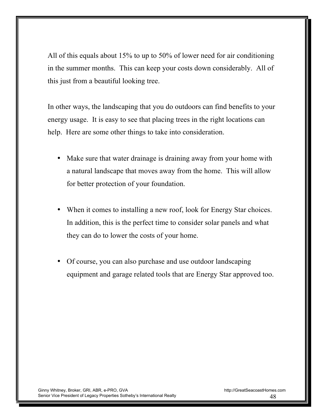All of this equals about 15% to up to 50% of lower need for air conditioning in the summer months. This can keep your costs down considerably. All of this just from a beautiful looking tree.

In other ways, the landscaping that you do outdoors can find benefits to your energy usage. It is easy to see that placing trees in the right locations can help. Here are some other things to take into consideration.

- Make sure that water drainage is draining away from your home with a natural landscape that moves away from the home. This will allow for better protection of your foundation.
- When it comes to installing a new roof, look for Energy Star choices. In addition, this is the perfect time to consider solar panels and what they can do to lower the costs of your home.
- Of course, you can also purchase and use outdoor landscaping equipment and garage related tools that are Energy Star approved too.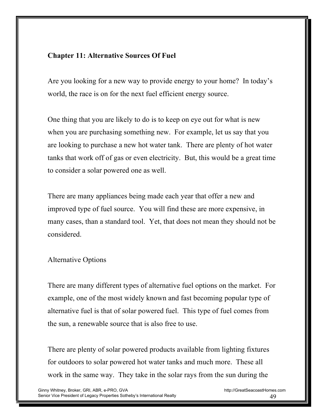### **Chapter 11: Alternative Sources Of Fuel**

Are you looking for a new way to provide energy to your home? In today's world, the race is on for the next fuel efficient energy source.

One thing that you are likely to do is to keep on eye out for what is new when you are purchasing something new. For example, let us say that you are looking to purchase a new hot water tank. There are plenty of hot water tanks that work off of gas or even electricity. But, this would be a great time to consider a solar powered one as well.

There are many appliances being made each year that offer a new and improved type of fuel source. You will find these are more expensive, in many cases, than a standard tool. Yet, that does not mean they should not be considered.

#### Alternative Options

There are many different types of alternative fuel options on the market. For example, one of the most widely known and fast becoming popular type of alternative fuel is that of solar powered fuel. This type of fuel comes from the sun, a renewable source that is also free to use.

There are plenty of solar powered products available from lighting fixtures for outdoors to solar powered hot water tanks and much more. These all work in the same way. They take in the solar rays from the sun during the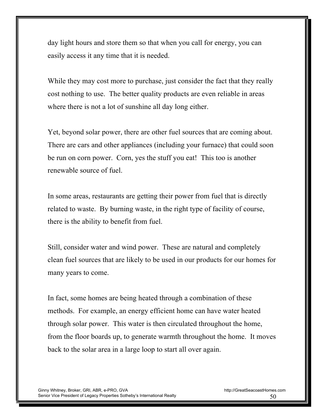day light hours and store them so that when you call for energy, you can easily access it any time that it is needed.

While they may cost more to purchase, just consider the fact that they really cost nothing to use. The better quality products are even reliable in areas where there is not a lot of sunshine all day long either.

Yet, beyond solar power, there are other fuel sources that are coming about. There are cars and other appliances (including your furnace) that could soon be run on corn power. Corn, yes the stuff you eat! This too is another renewable source of fuel.

In some areas, restaurants are getting their power from fuel that is directly related to waste. By burning waste, in the right type of facility of course, there is the ability to benefit from fuel.

Still, consider water and wind power. These are natural and completely clean fuel sources that are likely to be used in our products for our homes for many years to come.

In fact, some homes are being heated through a combination of these methods. For example, an energy efficient home can have water heated through solar power. This water is then circulated throughout the home, from the floor boards up, to generate warmth throughout the home. It moves back to the solar area in a large loop to start all over again.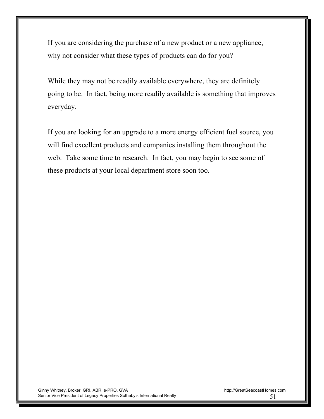If you are considering the purchase of a new product or a new appliance, why not consider what these types of products can do for you?

While they may not be readily available everywhere, they are definitely going to be. In fact, being more readily available is something that improves everyday.

If you are looking for an upgrade to a more energy efficient fuel source, you will find excellent products and companies installing them throughout the web. Take some time to research. In fact, you may begin to see some of these products at your local department store soon too.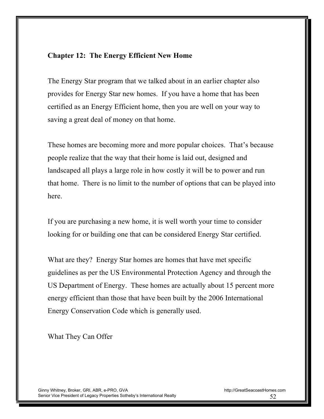### **Chapter 12: The Energy Efficient New Home**

The Energy Star program that we talked about in an earlier chapter also provides for Energy Star new homes. If you have a home that has been certified as an Energy Efficient home, then you are well on your way to saving a great deal of money on that home.

These homes are becoming more and more popular choices. That's because people realize that the way that their home is laid out, designed and landscaped all plays a large role in how costly it will be to power and run that home. There is no limit to the number of options that can be played into here.

If you are purchasing a new home, it is well worth your time to consider looking for or building one that can be considered Energy Star certified.

What are they? Energy Star homes are homes that have met specific guidelines as per the US Environmental Protection Agency and through the US Department of Energy. These homes are actually about 15 percent more energy efficient than those that have been built by the 2006 International Energy Conservation Code which is generally used.

What They Can Offer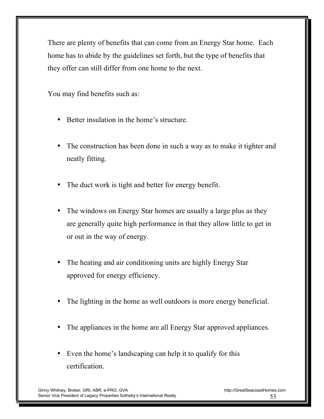There are plenty of benefits that can come from an Energy Star home. Each home has to abide by the guidelines set forth, but the type of benefits that they offer can still differ from one home to the next.

You may find benefits such as:

- Better insulation in the home's structure.
- The construction has been done in such a way as to make it tighter and neatly fitting.
- The duct work is tight and better for energy benefit.
- The windows on Energy Star homes are usually a large plus as they are generally quite high performance in that they allow little to get in or out in the way of energy.
- The heating and air conditioning units are highly Energy Star approved for energy efficiency.
- The lighting in the home as well outdoors is more energy beneficial.
- The appliances in the home are all Energy Star approved appliances.
- Even the home's landscaping can help it to qualify for this certification.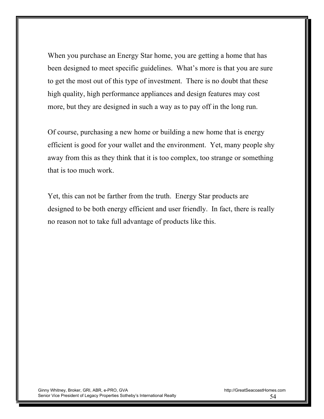When you purchase an Energy Star home, you are getting a home that has been designed to meet specific guidelines. What's more is that you are sure to get the most out of this type of investment. There is no doubt that these high quality, high performance appliances and design features may cost more, but they are designed in such a way as to pay off in the long run.

Of course, purchasing a new home or building a new home that is energy efficient is good for your wallet and the environment. Yet, many people shy away from this as they think that it is too complex, too strange or something that is too much work.

Yet, this can not be farther from the truth. Energy Star products are designed to be both energy efficient and user friendly. In fact, there is really no reason not to take full advantage of products like this.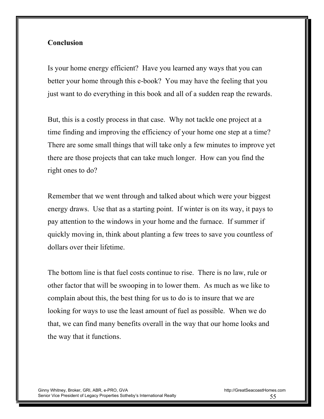# **Conclusion**

Is your home energy efficient? Have you learned any ways that you can better your home through this e-book? You may have the feeling that you just want to do everything in this book and all of a sudden reap the rewards.

But, this is a costly process in that case. Why not tackle one project at a time finding and improving the efficiency of your home one step at a time? There are some small things that will take only a few minutes to improve yet there are those projects that can take much longer. How can you find the right ones to do?

Remember that we went through and talked about which were your biggest energy draws. Use that as a starting point. If winter is on its way, it pays to pay attention to the windows in your home and the furnace. If summer if quickly moving in, think about planting a few trees to save you countless of dollars over their lifetime.

The bottom line is that fuel costs continue to rise. There is no law, rule or other factor that will be swooping in to lower them. As much as we like to complain about this, the best thing for us to do is to insure that we are looking for ways to use the least amount of fuel as possible. When we do that, we can find many benefits overall in the way that our home looks and the way that it functions.